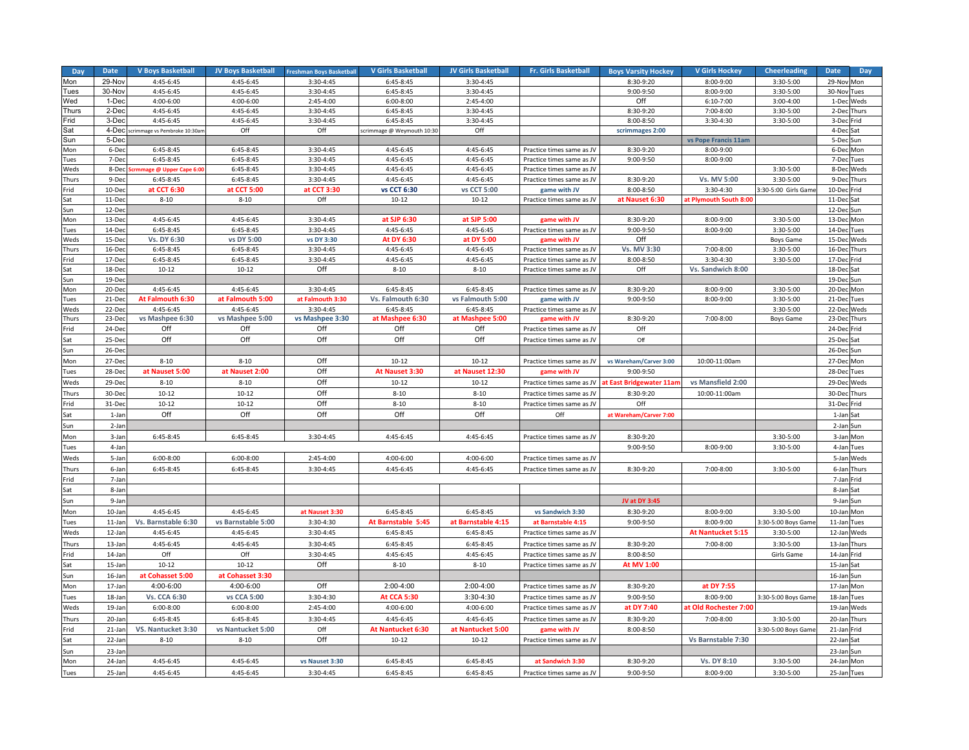| Day                | <b>Date</b>      | <b>V Boys Basketball</b>     | <b>JV Boys Basketball</b> | <b>Freshman Boys Basketball</b> | <b>V Girls Basketball</b>  | <b>JV Girls Basketball</b> | <b>Fr. Girls Basketball</b>               | <b>Boys Varsity Hockey</b> | <b>V Girls Hockey</b>    | <b>Cheerleading</b>           | <b>Date</b><br>Day           |
|--------------------|------------------|------------------------------|---------------------------|---------------------------------|----------------------------|----------------------------|-------------------------------------------|----------------------------|--------------------------|-------------------------------|------------------------------|
| Mon                | 29-Nov           | 4:45-6:45                    | 4:45-6:45                 | 3:30-4:45                       | 6:45-8:45                  | 3:30-4:45                  |                                           | 8:30-9:20                  | 8:00-9:00                | 3:30-5:00                     | 29-Nov<br>Mon                |
| Tues               | 30-Nov           | 4:45-6:45                    | 4:45-6:45                 | 3:30-4:45                       | 6:45-8:45                  | 3:30-4:45                  |                                           | 9:00-9:50                  | 8:00-9:00                | 3:30-5:00                     | 30-Nov Tues                  |
| Wed                | 1-Dec            | 4:00-6:00                    | 4:00-6:00                 | 2:45-4:00                       | $6:00-8:00$                | 2:45-4:00                  |                                           | Off                        | $6:10-7:00$              | $3:00-4:00$                   | 1-Dec Weds                   |
| Thurs              | 2-Dec            | 4:45-6:45                    | 4:45-6:45                 | 3:30-4:45                       | 6:45-8:45                  | 3:30-4:45                  |                                           | 8:30-9:20                  | 7:00-8:00                | 3:30-5:00                     | 2-Dec Thurs                  |
| -rid               | 3-Dec            | 4:45-6:45                    | 4:45-6:45                 | 3:30-4:45                       | 6:45-8:45                  | 3:30-4:45                  |                                           | 8:00-8:50                  | 3:30-4:30                | 3:30-5:00                     | 3-Dec Frid                   |
| Sat                | 4-Dec            | crimmage vs Pembroke 10:30ar | Off                       | Off                             | scrimmage @ Weymouth 10:30 | Off                        |                                           | scrimmages 2:00            |                          |                               | 4-De                         |
| Sun                | 5-Dec            |                              |                           |                                 |                            |                            |                                           |                            | vs Pope Francis 11am     |                               | 5-Dec Sun                    |
| Mon                | 6-Dec            | $6:45-8:45$                  | 6:45-8:45                 | 3:30-4:45                       | 4:45-6:45                  | 4:45-6:45                  | Practice times same as JV                 | 8:30-9:20                  | 8:00-9:00                |                               | 6-Dec Mon                    |
| <b>ues</b>         | 7-Dec            | $6:45-8:45$                  | 6:45-8:45                 | 3:30-4:45                       | 4:45-6:45                  | 4:45-6:45                  | Practice times same as JV                 | 9:00-9:50                  | 8:00-9:00                |                               | 7-Dec Tues                   |
| Weds               | 8-Dec            | mmage @ Upper Cape 6:0       | 6:45-8:45                 | 3:30-4:45                       | 4:45-6:45                  | 4:45-6:45                  | Practice times same as JV                 |                            |                          | 3:30-5:00                     | 8-Dec<br>Weds                |
| hurs <sup>-</sup>  | 9-De             | 6:45-8:45                    | 6:45-8:45                 | 3:30-4:45                       | 4:45-6:45                  | 4:45-6:45                  | Practice times same as JV                 | 8:30-9:20                  | Vs. MV 5:00              | 3:30-5:00                     | 9-De<br>Thurs                |
| -rid               | 10-Dec           | at CCT 6:30                  | at CCT 5:00               | at CCT 3:30                     | vs CCT 6:30                | vs CCT 5:00                | game with JV                              | 8:00-8:50                  | 3:30-4:30                | 3:30-5:00 Girls Game          | 10-Dec Frid                  |
| Sat                | 11-De            | $8 - 10$                     | $8 - 10$                  | Off                             | $10 - 12$                  | $10 - 12$                  | Practice times same as JV                 | at Nauset 6:30             | at Plymouth South 8:00   |                               | 11-Dec<br>Sat                |
| Sun                | 12-Dec           |                              |                           |                                 |                            |                            |                                           |                            |                          |                               | 12-Dec Sun                   |
| Mon<br><b>Tues</b> | 13-Dec<br>14-Dec | 4:45-6:45<br>$6:45-8:45$     | 4:45-6:45<br>$6:45-8:45$  | 3:30-4:45<br>3:30-4:45          | at SJP 6:30<br>4:45-6:45   | at SJP 5:00<br>4:45-6:45   | game with JV                              | 8:30-9:20<br>9:00-9:50     | 8:00-9:00                | 3:30-5:00                     | 13-Dec<br>Mon<br>14-Dec Tues |
| Weds               | 15-Dec           | Vs. DY 6:30                  | vs DY 5:00                | vs DY 3:30                      | At DY 6:30                 | at DY 5:00                 | Practice times same as JV<br>game with JV | Off                        | 8:00-9:00                | 3:30-5:00<br><b>Boys Game</b> | 15-Dec Weds                  |
| hurs <sup>-</sup>  | 16-De            | 6:45-8:45                    | 6:45-8:45                 | 3:30-4:45                       | 4:45-6:45                  | 4:45-6:45                  | Practice times same as JV                 | Vs. MV 3:30                | 7:00-8:00                | 3:30-5:00                     | 16-Dec Thurs                 |
| Frid               | 17-De            | 6:45-8:45                    | 6:45-8:45                 | 3:30-4:45                       | 4:45-6:45                  | 4:45-6:45                  | Practice times same as JV                 | 8:00-8:50                  | 3:30-4:30                | 3:30-5:00                     | 17-Dec<br>Frid               |
| Sat                | 18-De            | $10 - 12$                    | $10 - 12$                 | Off                             | $8 - 10$                   | $8 - 10$                   | Practice times same as JV                 | Off                        | Vs. Sandwich 8:00        |                               | $18-De$<br>Sat               |
| Sun                | 19-Dec           |                              |                           |                                 |                            |                            |                                           |                            |                          |                               | 19-Dec Sun                   |
| Mon                | 20-De            | 4:45-6:45                    | 4:45-6:45                 | 3:30-4:45                       | $6:45-8:45$                | $6:45-8:45$                | Practice times same as JV                 | 8:30-9:20                  | 8:00-9:00                | $3:30-5:00$                   | 20-Dec<br>Mon                |
| ues <sup>-</sup>   | 21-Dec           | At Falmouth 6:30             | at Falmouth 5:00          | at Falmouth 3:30                | Vs. Falmouth 6:30          | vs Falmouth 5:00           | game with JV                              | 9:00-9:50                  | 8:00-9:00                | 3:30-5:00                     | 21-Dec Tues                  |
| Weds               | 22-De            | 4:45-6:45                    | 4:45-6:45                 | 3:30-4:45                       | 6:45-8:45                  | 6:45-8:45                  | Practice times same as JV                 |                            |                          | 3:30-5:00                     | 22-Dec Weds                  |
| <b>hurs</b>        | $23-De$          | vs Mashpee 6:30              | vs Mashpee 5:00           | vs Mashpee 3:30                 | at Mashpee 6:30            | at Mashpee 5:00            | game with JV                              | 8:30-9:20                  | 7:00-8:00                | <b>Boys Game</b>              | 23-De<br>Thurs               |
| -rid               | 24-Dec           | Off                          | Off                       | Off                             | Off                        | Off                        | Practice times same as JV                 | Off                        |                          |                               | 24-Dec Frid                  |
| Sat                | 25-De            | Off                          | Off                       | Off                             | Off                        | Off                        | Practice times same as JV                 | Off                        |                          |                               | 25-Dec<br>Sat                |
| Sun                | 26-Dec           |                              |                           |                                 |                            |                            |                                           |                            |                          |                               | 26-Dec Sun                   |
| Mon                | 27-Dec           | $8 - 10$                     | $8 - 10$                  | Off                             | $10 - 12$                  | $10 - 12$                  | Practice times same as JV                 | vs Wareham/Carver 3:00     | 10:00-11:00am            |                               | 27-Dec Mon                   |
| Tues               | 28-De            | at Nauset 5:00               | at Nauset 2:00            | Off                             | At Nauset 3:30             | at Nauset 12:30            | game with JV                              | 9:00-9:50                  |                          |                               | 28-Dec<br>Tues               |
| Weds               | 29-Dec           | $8 - 10$                     | $8 - 10$                  | Off                             | $10 - 12$                  | $10 - 12$                  | Practice times same as JV                 | t East Bridgewater 11ar    | vs Mansfield 2:00        |                               | 29-Dec Weds                  |
| <b>hurs</b>        | 30-De            | $10 - 12$                    | $10 - 12$                 | Off                             | $8 - 10$                   | $8 - 10$                   | Practice times same as JV                 | 8:30-9:20                  | 10:00-11:00am            |                               | 30-Dec Thurs                 |
| Frid               | 31-De            | $10 - 12$                    | $10 - 12$                 | Off                             | $8 - 10$                   | $8 - 10$                   | Practice times same as JV                 | Off                        |                          |                               | 31-Dec Frid                  |
| Sat                | 1-Jan            | Off                          | Off                       | Off                             | Off                        | Off                        | Off                                       | at Wareham/Carver 7:00     |                          |                               | 1-Jan Sat                    |
| Sun                | 2-Jar            |                              |                           |                                 |                            |                            |                                           |                            |                          |                               | 2-Jan<br>Sun                 |
| Mon                | 3-Jar            | $6:45-8:45$                  | $6:45-8:45$               | 3:30-4:45                       | 4:45-6:45                  | 4:45-6:45                  | Practice times same as JV                 | 8:30-9:20                  |                          | 3:30-5:00                     | 3-Jan Mon                    |
| ues <sup>-</sup>   | 4-Jan            |                              |                           |                                 |                            |                            |                                           | 9:00-9:50                  | 8:00-9:00                | 3:30-5:00                     | 4-Jan Tues                   |
| Weds               | 5-Jar            | $6:00 - 8:00$                | 6:00-8:00                 | 2:45-4:00                       | 4:00-6:00                  | 4:00-6:00                  | Practice times same as JV                 |                            |                          |                               | 5-Jar<br>Weds                |
| `hurs              | 6-Jan            | 6:45-8:45                    | 6:45-8:45                 | 3:30-4:45                       | 4:45-6:45                  | 4:45-6:45                  | Practice times same as JV                 | 8:30-9:20                  | 7:00-8:00                | 3:30-5:00                     | 6-Jan Thurs                  |
| rid                | 7-Jan            |                              |                           |                                 |                            |                            |                                           |                            |                          |                               | 7-Jan Frid                   |
| Sat                | 8-Jar            |                              |                           |                                 |                            |                            |                                           |                            |                          |                               | 8-Jan Sat                    |
| Sun                | 9-Jan            |                              |                           |                                 |                            |                            |                                           | JV at DY 3:45              |                          |                               | 9-Jan Sun                    |
| Mon                | 10-Jar           | 4:45-6:45                    | 4:45-6:45                 | at Nauset 3:30                  | 6:45-8:45                  | $6:45-8:45$                | vs Sandwich 3:30                          | 8:30-9:20                  | 8:00-9:00                | 3:30-5:00                     | 10-Jan Mon                   |
| ues <sup>-</sup>   | 11-Jan           | Vs. Barnstable 6:30          | vs Barnstable 5:00        | 3:30-4:30                       | At Barnstable 5:45         | at Barnstable 4:15         | at Barnstable 4:15                        | 9:00-9:50                  | 8:00-9:00                | 3:30-5:00 Boys Gam            | 11-Jan Tues                  |
| Weds               | 12-Jar           | 4:45-6:45                    | 4:45-6:45                 | 3:30-4:45                       | 6:45-8:45                  | $6:45-8:45$                | Practice times same as JV                 |                            | <b>At Nantucket 5:15</b> | 3:30-5:00                     | 12-Jan Weds                  |
| <b>hurs</b>        | 13-Jar           | 4:45-6:45                    | 4:45-6:45                 | 3:30-4:45                       | 6:45-8:45                  | 6:45-8:45                  | Practice times same as JV                 | 8:30-9:20                  | 7:00-8:00                | 3:30-5:00                     | 13-Jan<br>Thurs              |
| rid:               | 14-Jar           | Off                          | Off                       | 3:30-4:45                       | 4:45-6:45                  | 4:45-6:45                  | Practice times same as JV                 | 8:00-8:50                  |                          | Girls Game                    | 14-Jan Frid                  |
| Sat                | 15-Jar           | $10-12$                      | $10 - 12$                 | Off                             | $8 - 10$                   | $8 - 10$                   | Practice times same as JV                 | At MV 1:00                 |                          |                               | 15-Jan Sat                   |
| Sun                | 16-Jar           | at Cohasset 5:00             | at Cohasset 3:30          |                                 |                            |                            |                                           |                            |                          |                               | 16-Jan Sun                   |
| Mon                | 17-Jan           | 4:00-6:00                    | 4:00-6:00                 | Off                             | 2:00-4:00                  | 2:00-4:00                  | Practice times same as JV                 | 8:30-9:20                  | at DY 7:55               |                               | 17-Jan Mon                   |
| ues <sup>-</sup>   | 18-Jar           | <b>Vs. CCA 6:30</b>          | vs CCA 5:00               | 3:30-4:30                       | <b>At CCA 5:30</b>         | 3:30-4:30                  | Practice times same as JV                 | 9:00-9:50                  | 8:00-9:00                | 3:30-5:00 Boys Gam            | 18-Jan<br>Tues               |
| Weds               | 19-Jar           | $6:00-8:00$                  | $6:00-8:00$               | 2:45-4:00                       | 4:00-6:00                  | 4:00-6:00                  | Practice times same as JV                 | at DY 7:40                 | t Old Rochester 7:00     |                               | 19-Jan Weds                  |
| Thurs              | 20-Jar           | $6:45-8:45$                  | 6:45-8:45                 | 3:30-4:45                       | 4:45-6:45                  | 4:45-6:45                  | Practice times same as JV                 | 8:30-9:20                  | 7:00-8:00                | 3:30-5:00                     | 20-Jan Thurs                 |
| Frid               | 21-Jar           | VS. Nantucket 3:30           | vs Nantucket 5:00         | Off                             | At Nantucket 6:30          | at Nantucket 5:00          | game with JV                              | 8:00-8:50                  |                          | 3:30-5:00 Boys Gam            | 21-Jan Frid                  |
| Sat                | 22-Jan           | $8 - 10$                     | $8 - 10$                  | Off                             | $10 - 12$                  | $10 - 12$                  | Practice times same as JV                 |                            | Vs Barnstable 7:30       |                               | 22-Jan Sat                   |
| Sun                | 23-Jar           |                              |                           |                                 |                            |                            |                                           |                            |                          |                               | 23-Jan Sun                   |
| Mon                | 24-Jar           | 4:45-6:45                    | 4:45-6:45                 | vs Nauset 3:30                  | $6:45-8:45$                | $6:45-8:45$                | at Sandwich 3:30                          | 8:30-9:20                  | <b>Vs. DY 8:10</b>       | 3:30-5:00                     | 24-Jan Mon                   |
| Tues               | 25-Jan           | 4:45-6:45                    | 4:45-6:45                 | 3:30-4:45                       | 6:45-8:45                  | 6:45-8:45                  | Practice times same as JV                 | 9:00-9:50                  | 8:00-9:00                | 3:30-5:00                     | 25-Jan Tues                  |
|                    |                  |                              |                           |                                 |                            |                            |                                           |                            |                          |                               |                              |